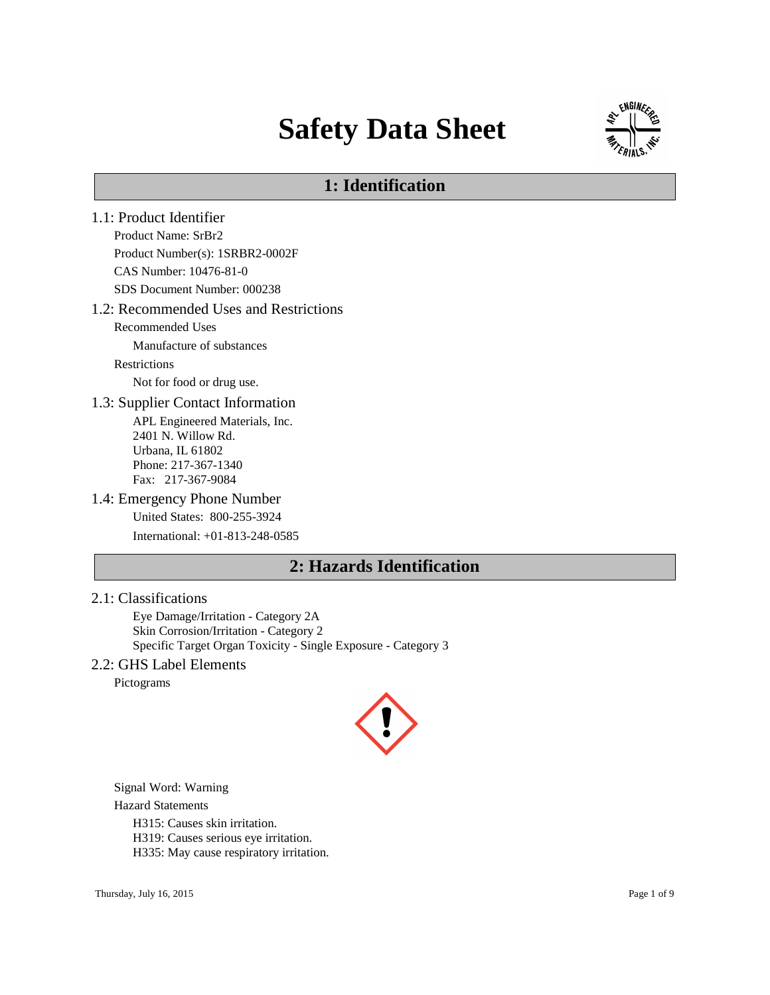# **Safety Data Sheet**



# **1: Identification**

1.1: Product Identifier Product Name: SrBr2 Product Number(s): 1SRBR2-0002F CAS Number: 10476-81-0 SDS Document Number: 000238 1.2: Recommended Uses and Restrictions Recommended Uses Manufacture of substances Restrictions Not for food or drug use. 1.3: Supplier Contact Information APL Engineered Materials, Inc. 2401 N. Willow Rd. Urbana, IL 61802 Phone: 217-367-1340 Fax: 217-367-9084 1.4: Emergency Phone Number United States: 800-255-3924 International: +01-813-248-0585 **2: Hazards Identification**

### 2.1: Classifications

Eye Damage/Irritation - Category 2A Skin Corrosion/Irritation - Category 2 Specific Target Organ Toxicity - Single Exposure - Category 3

### 2.2: GHS Label Elements

Pictograms



Signal Word: Warning

Hazard Statements

H315: Causes skin irritation.

H319: Causes serious eye irritation.

H335: May cause respiratory irritation.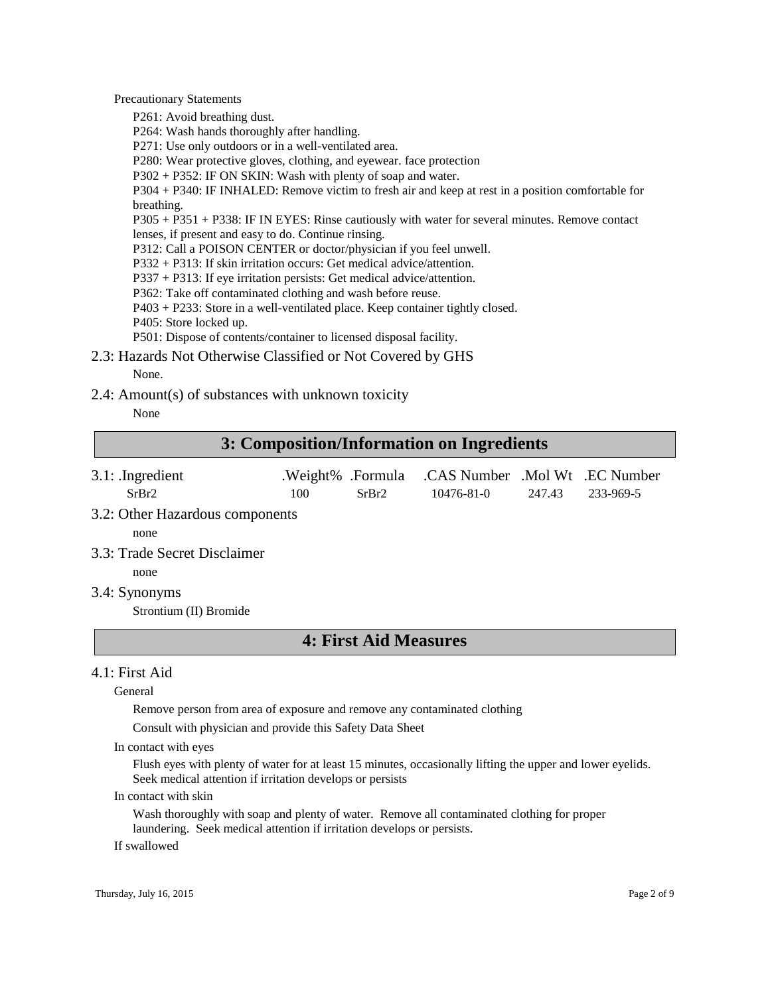Precautionary Statements

P261: Avoid breathing dust.

P264: Wash hands thoroughly after handling.

P271: Use only outdoors or in a well-ventilated area.

P280: Wear protective gloves, clothing, and eyewear. face protection

P302 + P352: IF ON SKIN: Wash with plenty of soap and water.

P304 + P340: IF INHALED: Remove victim to fresh air and keep at rest in a position comfortable for breathing.

P305 + P351 + P338: IF IN EYES: Rinse cautiously with water for several minutes. Remove contact lenses, if present and easy to do. Continue rinsing.

P312: Call a POISON CENTER or doctor/physician if you feel unwell.

P332 + P313: If skin irritation occurs: Get medical advice/attention.

P337 + P313: If eye irritation persists: Get medical advice/attention.

P362: Take off contaminated clothing and wash before reuse.

P403 + P233: Store in a well-ventilated place. Keep container tightly closed.

P405: Store locked up.

P501: Dispose of contents/container to licensed disposal facility.

2.3: Hazards Not Otherwise Classified or Not Covered by GHS None.

2.4: Amount(s) of substances with unknown toxicity

None

# **3: Composition/Information on Ingredients**

- 3.1: .Ingredient .Weight% .Formula .CAS Number .Mol Wt .EC Number SrBr2 100 SrBr2 10476-81-0 247.43 233-969-5
- 3.2: Other Hazardous components

none

3.3: Trade Secret Disclaimer

none

3.4: Synonyms

Strontium (II) Bromide

# **4: First Aid Measures**

## 4.1: First Aid

General

Remove person from area of exposure and remove any contaminated clothing

Consult with physician and provide this Safety Data Sheet

In contact with eyes

Flush eyes with plenty of water for at least 15 minutes, occasionally lifting the upper and lower eyelids. Seek medical attention if irritation develops or persists

In contact with skin

Wash thoroughly with soap and plenty of water. Remove all contaminated clothing for proper laundering. Seek medical attention if irritation develops or persists.

If swallowed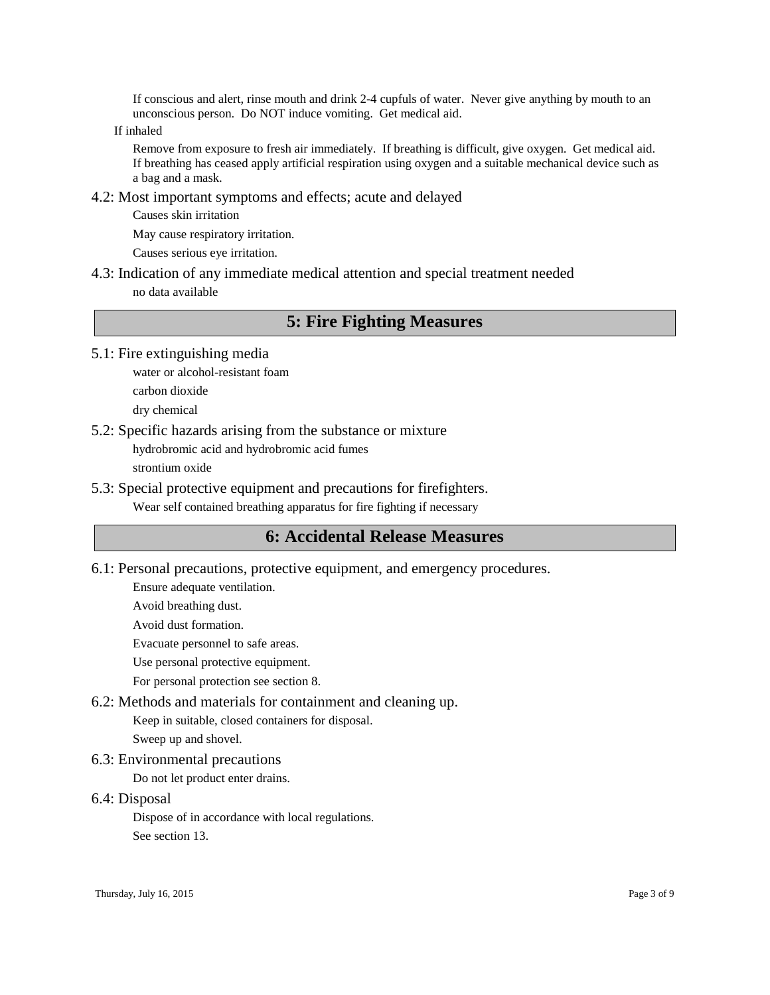If conscious and alert, rinse mouth and drink 2-4 cupfuls of water. Never give anything by mouth to an unconscious person. Do NOT induce vomiting. Get medical aid.

If inhaled

Remove from exposure to fresh air immediately. If breathing is difficult, give oxygen. Get medical aid. If breathing has ceased apply artificial respiration using oxygen and a suitable mechanical device such as a bag and a mask.

4.2: Most important symptoms and effects; acute and delayed

Causes skin irritation

May cause respiratory irritation.

Causes serious eye irritation.

4.3: Indication of any immediate medical attention and special treatment needed no data available

# **5: Fire Fighting Measures**

- 5.1: Fire extinguishing media
	- water or alcohol-resistant foam carbon dioxide dry chemical
- 5.2: Specific hazards arising from the substance or mixture

hydrobromic acid and hydrobromic acid fumes

strontium oxide

5.3: Special protective equipment and precautions for firefighters.

Wear self contained breathing apparatus for fire fighting if necessary

# **6: Accidental Release Measures**

6.1: Personal precautions, protective equipment, and emergency procedures.

Ensure adequate ventilation.

Avoid breathing dust.

Avoid dust formation.

Evacuate personnel to safe areas.

Use personal protective equipment.

For personal protection see section 8.

6.2: Methods and materials for containment and cleaning up.

Keep in suitable, closed containers for disposal.

Sweep up and shovel.

6.3: Environmental precautions

Do not let product enter drains.

6.4: Disposal

Dispose of in accordance with local regulations.

See section 13.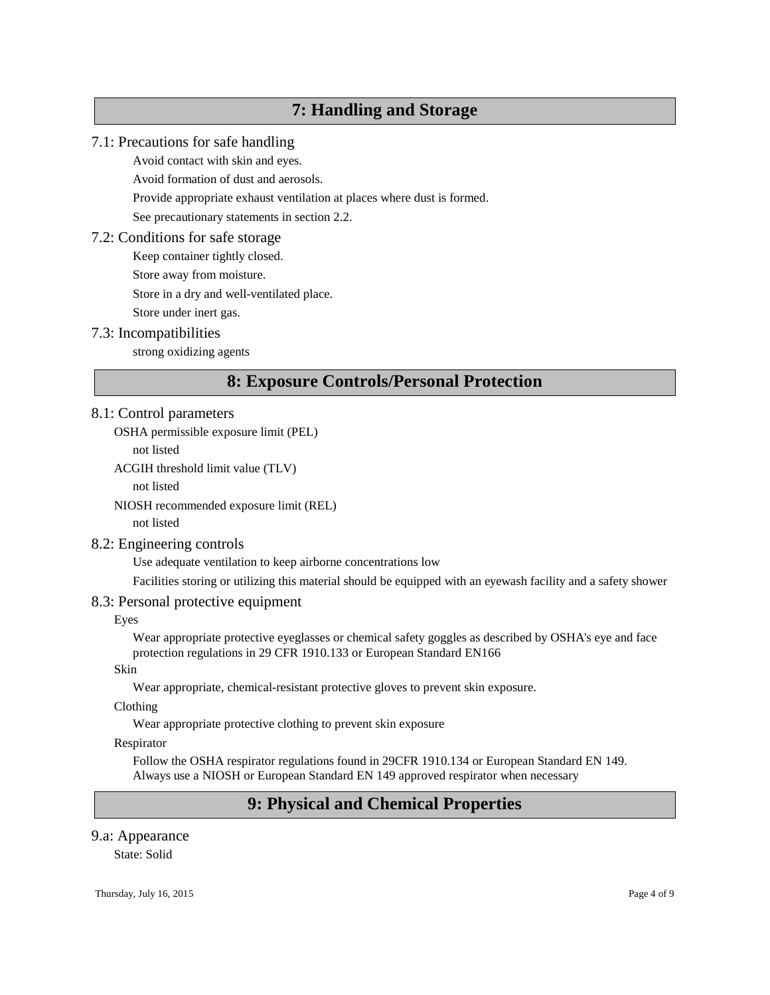# **7: Handling and Storage**

## 7.1: Precautions for safe handling

Avoid contact with skin and eyes.

Avoid formation of dust and aerosols.

Provide appropriate exhaust ventilation at places where dust is formed.

See precautionary statements in section 2.2.

### 7.2: Conditions for safe storage

Keep container tightly closed.

Store away from moisture.

Store in a dry and well-ventilated place.

Store under inert gas.

### 7.3: Incompatibilities

strong oxidizing agents

# **8: Exposure Controls/Personal Protection**

## 8.1: Control parameters

OSHA permissible exposure limit (PEL)

not listed

ACGIH threshold limit value (TLV)

not listed

NIOSH recommended exposure limit (REL)

not listed

## 8.2: Engineering controls

Use adequate ventilation to keep airborne concentrations low

Facilities storing or utilizing this material should be equipped with an eyewash facility and a safety shower

## 8.3: Personal protective equipment

Eyes

Wear appropriate protective eyeglasses or chemical safety goggles as described by OSHA's eye and face protection regulations in 29 CFR 1910.133 or European Standard EN166

Skin

Wear appropriate, chemical-resistant protective gloves to prevent skin exposure.

Clothing

Wear appropriate protective clothing to prevent skin exposure

#### Respirator

Follow the OSHA respirator regulations found in 29CFR 1910.134 or European Standard EN 149. Always use a NIOSH or European Standard EN 149 approved respirator when necessary

# **9: Physical and Chemical Properties**

## 9.a: Appearance

State: Solid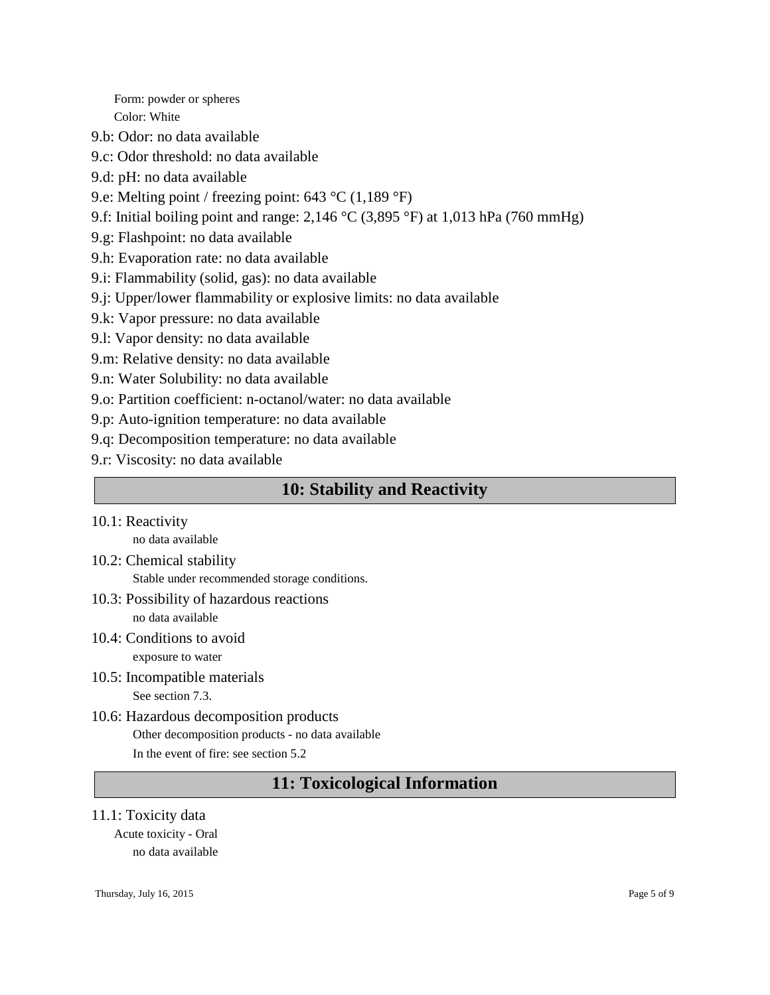Form: powder or spheres Color: White

9.b: Odor: no data available

- 9.c: Odor threshold: no data available
- 9.d: pH: no data available
- 9.e: Melting point / freezing point: 643 °C (1,189 °F)
- 9.f: Initial boiling point and range: 2,146 °C (3,895 °F) at 1,013 hPa (760 mmHg)
- 9.g: Flashpoint: no data available
- 9.h: Evaporation rate: no data available
- 9.i: Flammability (solid, gas): no data available
- 9.j: Upper/lower flammability or explosive limits: no data available
- 9.k: Vapor pressure: no data available
- 9.l: Vapor density: no data available
- 9.m: Relative density: no data available
- 9.n: Water Solubility: no data available
- 9.o: Partition coefficient: n-octanol/water: no data available
- 9.p: Auto-ignition temperature: no data available
- 9.q: Decomposition temperature: no data available
- 9.r: Viscosity: no data available

# **10: Stability and Reactivity**

10.1: Reactivity

no data available

- 10.2: Chemical stability Stable under recommended storage conditions.
- 10.3: Possibility of hazardous reactions no data available
- 10.4: Conditions to avoid exposure to water
- 10.5: Incompatible materials See section 7.3.
- 10.6: Hazardous decomposition products Other decomposition products - no data available In the event of fire: see section 5.2

# **11: Toxicological Information**

11.1: Toxicity data

Acute toxicity - Oral no data available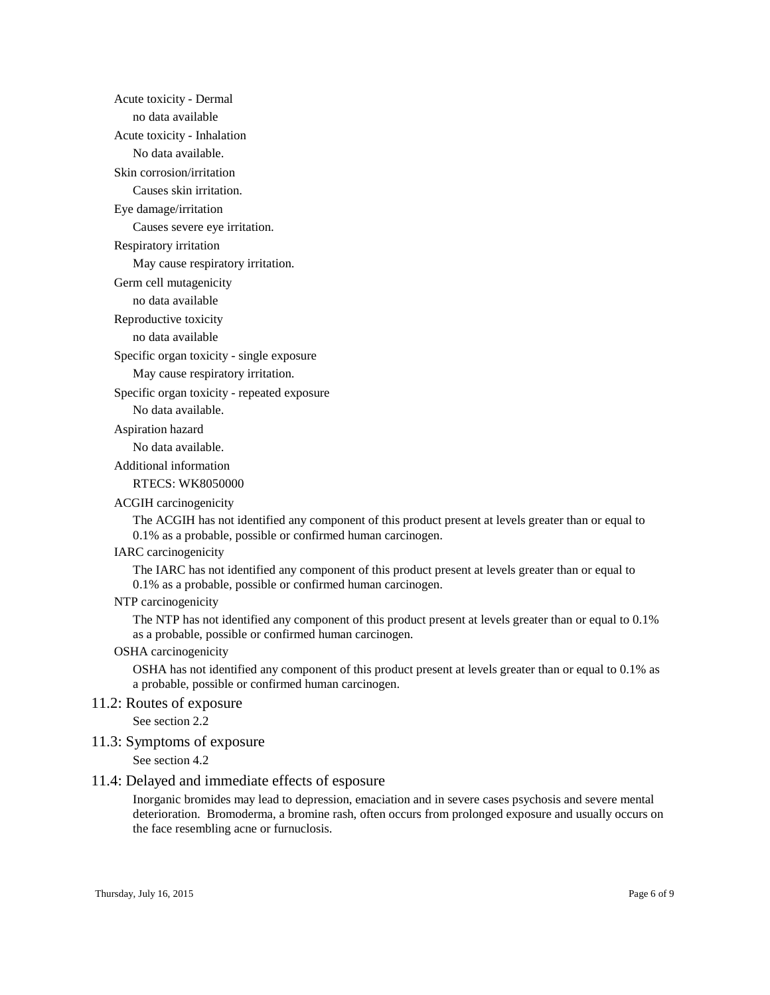Acute toxicity - Dermal

no data available

Acute toxicity - Inhalation

No data available.

Skin corrosion/irritation

Causes skin irritation.

Eye damage/irritation

Causes severe eye irritation.

Respiratory irritation

May cause respiratory irritation.

Germ cell mutagenicity

no data available

Reproductive toxicity

no data available

Specific organ toxicity - single exposure

May cause respiratory irritation.

Specific organ toxicity - repeated exposure

No data available.

Aspiration hazard

No data available.

Additional information

RTECS: WK8050000

#### ACGIH carcinogenicity

The ACGIH has not identified any component of this product present at levels greater than or equal to 0.1% as a probable, possible or confirmed human carcinogen.

#### IARC carcinogenicity

The IARC has not identified any component of this product present at levels greater than or equal to 0.1% as a probable, possible or confirmed human carcinogen.

#### NTP carcinogenicity

The NTP has not identified any component of this product present at levels greater than or equal to 0.1% as a probable, possible or confirmed human carcinogen.

#### OSHA carcinogenicity

OSHA has not identified any component of this product present at levels greater than or equal to 0.1% as a probable, possible or confirmed human carcinogen.

#### 11.2: Routes of exposure

See section 2.2

#### 11.3: Symptoms of exposure

See section 4.2

#### 11.4: Delayed and immediate effects of esposure

Inorganic bromides may lead to depression, emaciation and in severe cases psychosis and severe mental deterioration. Bromoderma, a bromine rash, often occurs from prolonged exposure and usually occurs on the face resembling acne or furnuclosis.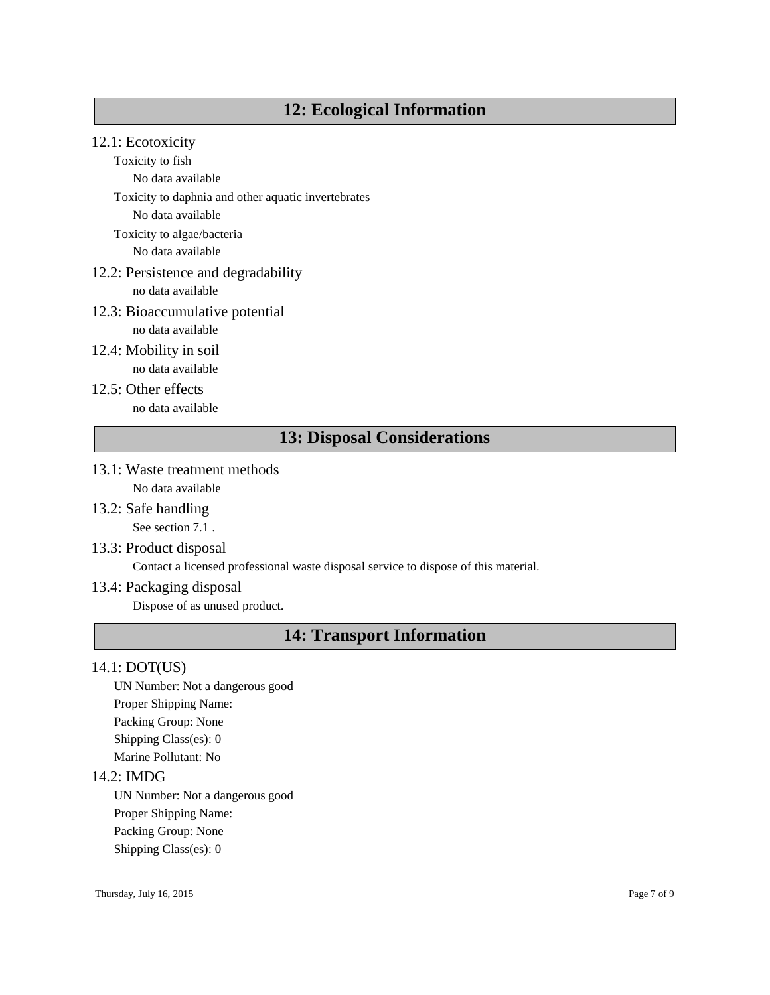# **12: Ecological Information**

# 12.1: Ecotoxicity

Toxicity to fish

No data available

Toxicity to daphnia and other aquatic invertebrates

No data available

Toxicity to algae/bacteria

No data available

# 12.2: Persistence and degradability

no data available

## 12.3: Bioaccumulative potential

no data available

- 12.4: Mobility in soil no data available
- 12.5: Other effects no data available

# **13: Disposal Considerations**

- 13.1: Waste treatment methods No data available
- 13.2: Safe handling See section 7.1.
- 13.3: Product disposal

Contact a licensed professional waste disposal service to dispose of this material.

## 13.4: Packaging disposal

Dispose of as unused product.

# **14: Transport Information**

## 14.1: DOT(US)

UN Number: Not a dangerous good Proper Shipping Name: Packing Group: None Shipping Class(es): 0 Marine Pollutant: No

## 14.2: IMDG

UN Number: Not a dangerous good Proper Shipping Name: Packing Group: None Shipping Class(es): 0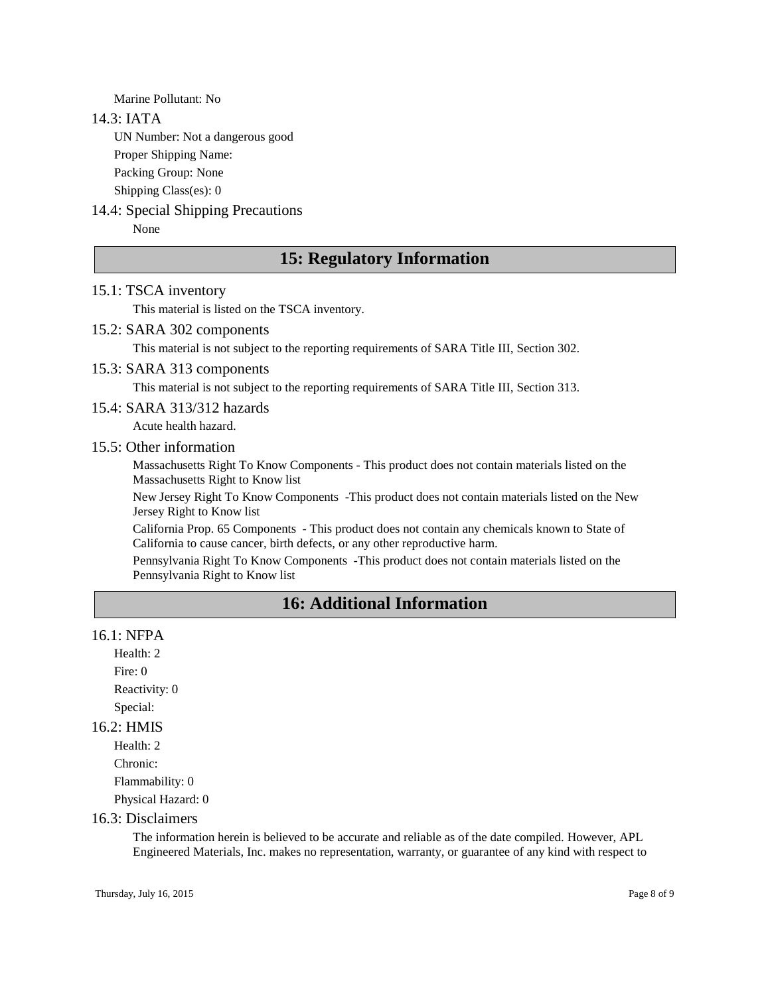Marine Pollutant: No

#### 14.3: IATA

UN Number: Not a dangerous good

Proper Shipping Name:

Packing Group: None

Shipping Class(es): 0

# 14.4: Special Shipping Precautions

None

# **15: Regulatory Information**

## 15.1: TSCA inventory

This material is listed on the TSCA inventory.

#### 15.2: SARA 302 components

This material is not subject to the reporting requirements of SARA Title III, Section 302.

#### 15.3: SARA 313 components

This material is not subject to the reporting requirements of SARA Title III, Section 313.

## 15.4: SARA 313/312 hazards

Acute health hazard.

#### 15.5: Other information

Massachusetts Right To Know Components - This product does not contain materials listed on the Massachusetts Right to Know list

New Jersey Right To Know Components -This product does not contain materials listed on the New Jersey Right to Know list

California Prop. 65 Components - This product does not contain any chemicals known to State of California to cause cancer, birth defects, or any other reproductive harm.

Pennsylvania Right To Know Components -This product does not contain materials listed on the Pennsylvania Right to Know list

# **16: Additional Information**

# 16.1: NFPA

Health: 2 Fire: 0 Reactivity: 0 Special:

# 16.2: HMIS

Health: 2 Chronic: Flammability: 0 Physical Hazard: 0

#### 16.3: Disclaimers

The information herein is believed to be accurate and reliable as of the date compiled. However, APL Engineered Materials, Inc. makes no representation, warranty, or guarantee of any kind with respect to